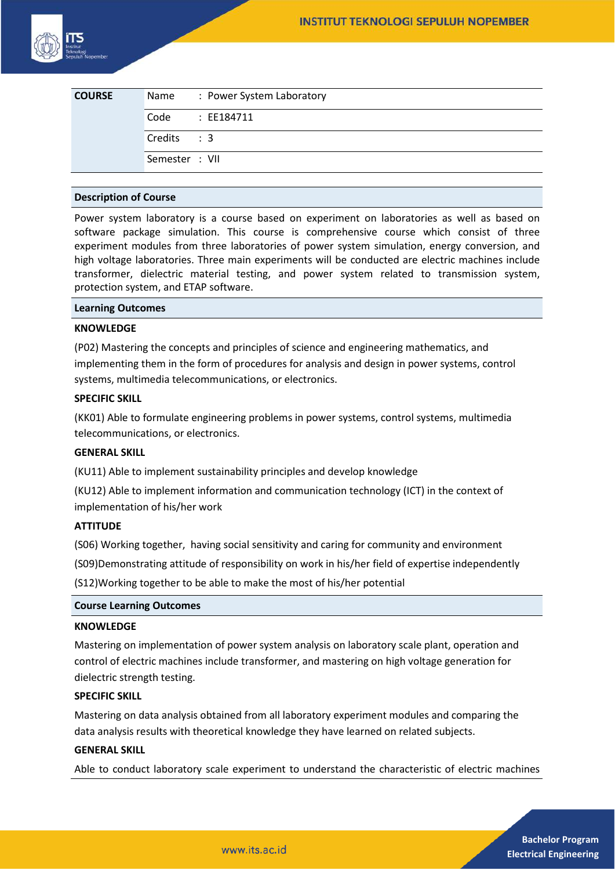| <b>COURSE</b> | Name           | : Power System Laboratory |
|---------------|----------------|---------------------------|
|               | Code           | : EE184711                |
|               | Credits: 3     |                           |
|               | Semester : VII |                           |

## **Description of Course**

Power system laboratory is a course based on experiment on laboratories as well as based on software package simulation. This course is comprehensive course which consist of three experiment modules from three laboratories of power system simulation, energy conversion, and high voltage laboratories. Three main experiments will be conducted are electric machines include transformer, dielectric material testing, and power system related to transmission system, protection system, and ETAP software.

#### **Learning Outcomes**

#### **KNOWLEDGE**

(P02) Mastering the concepts and principles of science and engineering mathematics, and implementing them in the form of procedures for analysis and design in power systems, control systems, multimedia telecommunications, or electronics.

#### **SPECIFIC SKILL**

(KK01) Able to formulate engineering problems in power systems, control systems, multimedia telecommunications, or electronics.

## **GENERAL SKILL**

(KU11) Able to implement sustainability principles and develop knowledge

(KU12) Able to implement information and communication technology (ICT) in the context of implementation of his/her work

## **ATTITUDE**

(S06) Working together, having social sensitivity and caring for community and environment (S09)Demonstrating attitude of responsibility on work in his/her field of expertise independently (S12)Working together to be able to make the most of his/her potential

## **Course Learning Outcomes**

#### **KNOWLEDGE**

Mastering on implementation of power system analysis on laboratory scale plant, operation and control of electric machines include transformer, and mastering on high voltage generation for dielectric strength testing.

#### **SPECIFIC SKILL**

Mastering on data analysis obtained from all laboratory experiment modules and comparing the data analysis results with theoretical knowledge they have learned on related subjects.

### **GENERAL SKILL**

Able to conduct laboratory scale experiment to understand the characteristic of electric machines